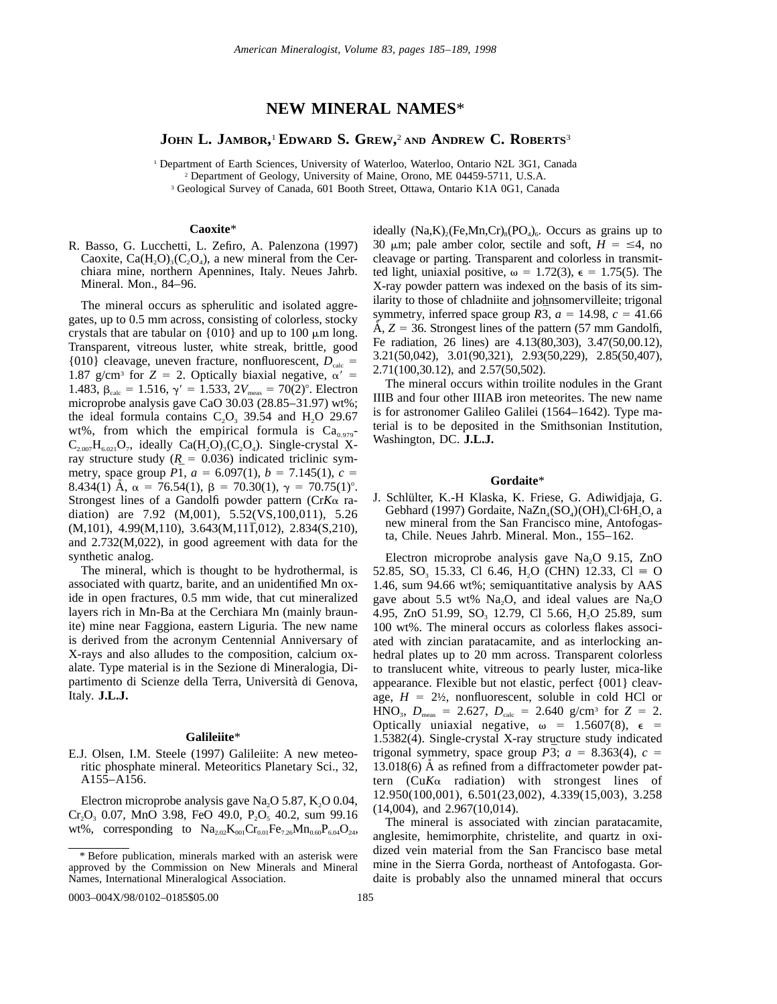# **NEW MINERAL NAMES**\*

# **JOHN L. JAMBOR,** <sup>1</sup> **EDWARD S. GREW,** <sup>2</sup> **AND ANDREW C. ROBERTS**<sup>3</sup>

<sup>1</sup> Department of Earth Sciences, University of Waterloo, Waterloo, Ontario N2L 3G1, Canada <sup>2</sup> Department of Geology, University of Maine, Orono, ME 04459-5711, U.S.A. <sup>3</sup> Geological Survey of Canada, 601 Booth Street, Ottawa, Ontario K1A 0G1, Canada

**Caoxite**\*

R. Basso, G. Lucchetti, L. Zefiro, A. Palenzona (1997) Caoxite,  $Ca(H<sub>2</sub>O)<sub>3</sub>(C<sub>2</sub>O<sub>4</sub>)$ , a new mineral from the Cerchiara mine, northern Apennines, Italy. Neues Jahrb. Mineral. Mon., 84–96.

The mineral occurs as spherulitic and isolated aggregates, up to 0.5 mm across, consisting of colorless, stocky crystals that are tabular on  $\{010\}$  and up to 100  $\mu$ m long. Transparent, vitreous luster, white streak, brittle, good {010} cleavage, uneven fracture, nonfluorescent,  $D_{\text{calc}}$  = 1.87 g/cm<sup>3</sup> for  $Z = 2$ . Optically biaxial negative,  $\alpha' =$ 1.483,  $\beta_{\text{calc}} = 1.516$ ,  $\gamma' = 1.533$ ,  $2V_{\text{meas}} = 70(2)^\circ$ . Electron microprobe analysis gave CaO 30.03 (28.85–31.97) wt%; the ideal formula contains  $C_2O_3$  39.54 and  $H_2O$  29.67 wt%, from which the empirical formula is  $Ca<sub>0.979</sub>$ - $C_{2.007}H_{6.021}O_7$ , ideally  $Ca(H_2O)_3(C_2O_4)$ . Single-crystal Xray structure study  $(R = 0.036)$  indicated triclinic symmetry, space group  $P\bar{1}$ ,  $a = 6.097(1)$ ,  $b = 7.145(1)$ ,  $c =$ 8.434(1) Å,  $\alpha = 76.54(1)$ ,  $\beta = 70.30(1)$ ,  $\gamma = 70.75(1)$ °. Strongest lines of a Gandolfi powder pattern (Cr*K*a radiation) are 7.92 (M,001), 5.52(VS,100,011), 5.26  $(M,101)$ , 4.99 $(M,110)$ , 3.643 $(M,111,012)$ , 2.834 $(S,210)$ , and 2.732(M,022), in good agreement with data for the synthetic analog.

The mineral, which is thought to be hydrothermal, is associated with quartz, barite, and an unidentified Mn oxide in open fractures, 0.5 mm wide, that cut mineralized layers rich in Mn-Ba at the Cerchiara Mn (mainly braunite) mine near Faggiona, eastern Liguria. The new name is derived from the acronym Centennial Anniversary of X-rays and also alludes to the composition, calcium oxalate. Type material is in the Sezione di Mineralogia, Dipartimento di Scienze della Terra, Universita` di Genova, Italy. **J.L.J.**

#### **Galileiite**\*

E.J. Olsen, I.M. Steele (1997) Galileiite: A new meteoritic phosphate mineral. Meteoritics Planetary Sci., 32, A155–A156.

Electron microprobe analysis gave Na<sub>2</sub>O 5.87, K<sub>2</sub>O 0.04,  $Cr_2O_3$  0.07, MnO 3.98, FeO 49.0, P<sub>2</sub>O<sub>5</sub> 40.2, sum 99.16 wt%, corresponding to  $Na<sub>2.02</sub>K<sub>001</sub>Cr<sub>0.01</sub>Fe<sub>7.26</sub>Mn<sub>0.60</sub>P<sub>6.04</sub>O<sub>24</sub>$ 

0003–004X/98/0102–0185\$05.00 185

ideally  $(Na,K)_{2}$ (Fe,Mn,Cr)<sub>8</sub>(PO<sub>4</sub>)<sub>6</sub>. Occurs as grains up to 30  $\mu$ m; pale amber color, sectile and soft,  $H = \leq 4$ , no cleavage or parting. Transparent and colorless in transmitted light, uniaxial positive,  $\omega = 1.72(3)$ ,  $\epsilon = 1.75(5)$ . The X-ray powder pattern was indexed on the basis of its similarity to those of chladniite and johnsomervilleite; trigonal symmetry, inferred space group  $R\bar{3}$ ,  $a = 14.98$ ,  $c = 41.66$  $\AA$ ,  $Z = 36$ . Strongest lines of the pattern (57 mm Gandolfi, Fe radiation, 26 lines) are 4.13(80,303), 3.47(50,00.12), 3.21(50,042), 3.01(90,321), 2.93(50,229), 2.85(50,407), 2.71(100,30.12), and 2.57(50,502).

The mineral occurs within troilite nodules in the Grant IIIB and four other IIIAB iron meteorites. The new name is for astronomer Galileo Galilei (1564–1642). Type material is to be deposited in the Smithsonian Institution, Washington, DC. **J.L.J.**

#### **Gordaite**\*

J. Schlülter, K.-H Klaska, K. Friese, G. Adiwidjaja, G. Gebhard (1997) Gordaite, Na $Zn_4(SO_4)(OH)_6Cl·6H_2O$ , a new mineral from the San Francisco mine, Antofogasta, Chile. Neues Jahrb. Mineral. Mon., 155–162.

Electron microprobe analysis gave  $Na<sub>2</sub>O$  9.15, ZnO 52.85, SO<sub>3</sub> 15.33, Cl 6.46, H<sub>2</sub>O (CHN) 12.33, Cl  $\equiv$  O 1.46, sum 94.66 wt%; semiquantitative analysis by AAS gave about 5.5 wt% Na<sub>2</sub>O, and ideal values are Na<sub>2</sub>O 4.95, ZnO 51.99, SO<sub>3</sub> 12.79, Cl 5.66, H<sub>2</sub>O 25.89, sum 100 wt%. The mineral occurs as colorless flakes associated with zincian paratacamite, and as interlocking anhedral plates up to 20 mm across. Transparent colorless to translucent white, vitreous to pearly luster, mica-like appearance. Flexible but not elastic, perfect {001} cleavage,  $H = 2\frac{1}{2}$ , nonfluorescent, soluble in cold HCl or  $HNO<sub>3</sub>, D<sub>meas</sub> = 2.627, D<sub>calc</sub> = 2.640 g/cm<sup>3</sup> for Z = 2.$ Optically uniaxial negative,  $\omega = 1.5607(8)$ ,  $\epsilon =$ 1.5382(4). Single-crystal X-ray structure study indicated trigonal symmetry, space group  $\overline{P3}$ ;  $a = 8.363(4)$ ,  $c =$  $13.018(6)$  Å as refined from a diffractometer powder pattern  $(CuK\alpha$  radiation) with strongest lines of 12.950(100,001), 6.501(23,002), 4.339(15,003), 3.258 (14,004), and 2.967(10,014).

The mineral is associated with zincian paratacamite, anglesite, hemimorphite, christelite, and quartz in oxidized vein material from the San Francisco base metal mine in the Sierra Gorda, northeast of Antofogasta. Gordaite is probably also the unnamed mineral that occurs

<sup>\*</sup> Before publication, minerals marked with an asterisk were approved by the Commission on New Minerals and Mineral Names, International Mineralogical Association.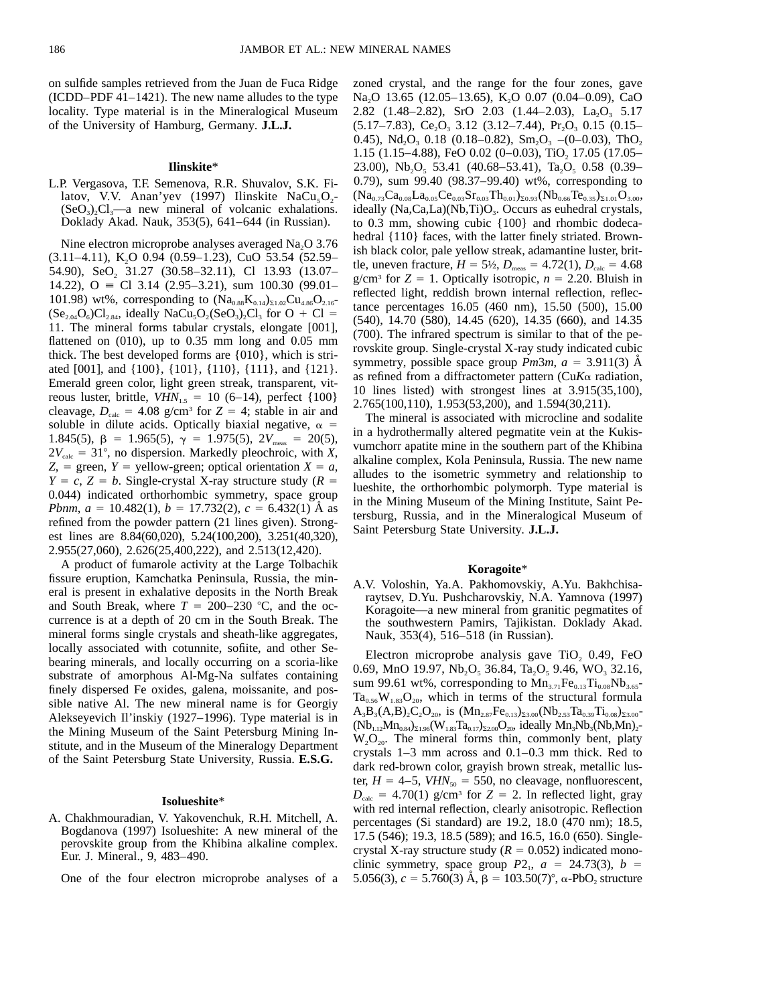on sulfide samples retrieved from the Juan de Fuca Ridge (ICDD–PDF 41–1421). The new name alludes to the type locality. Type material is in the Mineralogical Museum of the University of Hamburg, Germany. **J.L.J.**

#### **Ilinskite**\*

L.P. Vergasova, T.F. Semenova, R.R. Shuvalov, S.K. Filatov, V.V. Anan'yev (1997) Ilinskite NaCu<sub>5</sub>O<sub>2</sub>- $(SeO<sub>3</sub>)<sub>2</sub>Cl<sub>3</sub>$ —a new mineral of volcanic exhalations. Doklady Akad. Nauk, 353(5), 641–644 (in Russian).

Nine electron microprobe analyses averaged Na<sub>2</sub>O 3.76  $(3.11-4.11)$ , K<sub>2</sub>O 0.94  $(0.59-1.23)$ , CuO 53.54  $(52.59-$ 54.90), SeO<sub>2</sub> 31.27 (30.58–32.11), Cl 13.93 (13.07– 14.22),  $Q = Cl$  3.14 (2.95–3.21), sum 100.30 (99.01– 101.98) wt%, corresponding to  $(Na_{0.88}K_{0.14})_{\Sigma1.02}Cu_{4.86}O_{2.16}$  $(Se<sub>2.04</sub>O<sub>6</sub>)Cl<sub>2.84</sub>$ , ideally NaCu<sub>5</sub>O<sub>2</sub>(SeO<sub>3</sub>)<sub>2</sub>Cl<sub>3</sub> for O + Cl = 11. The mineral forms tabular crystals, elongate [001], flattened on  $(010)$ , up to  $0.35$  mm long and  $0.05$  mm thick. The best developed forms are {010}, which is striated [001], and {100}, {101}, {110}, {111}, and {121}. Emerald green color, light green streak, transparent, vitreous luster, brittle,  $VHN_{1.5} = 10 (6-14)$ , perfect {100} cleavage,  $D_{\text{calc}} = 4.08$  g/cm<sup>3</sup> for  $Z = 4$ ; stable in air and soluble in dilute acids. Optically biaxial negative,  $\alpha =$ 1.845(5),  $\beta$  = 1.965(5),  $\gamma$  = 1.975(5), 2*V*<sub>meas</sub> = 20(5),  $2V_{\text{calc}} = 31^{\circ}$ , no dispersion. Markedly pleochroic, with *X*,  $Z$ , = green, *Y* = yellow-green; optical orientation  $X = a$ ,  $Y = c$ ,  $Z = b$ . Single-crystal X-ray structure study ( $R = b$ 0.044) indicated orthorhombic symmetry, space group *Pbnm*,  $a = 10.482(1)$ ,  $b = 17.732(2)$ ,  $c = 6.432(1)$  Å as refined from the powder pattern (21 lines given). Strongest lines are 8.84(60,020), 5.24(100,200), 3.251(40,320), 2.955(27,060), 2.626(25,400,222), and 2.513(12,420).

A product of fumarole activity at the Large Tolbachik fissure eruption, Kamchatka Peninsula, Russia, the mineral is present in exhalative deposits in the North Break and South Break, where  $T = 200-230$  °C, and the occurrence is at a depth of 20 cm in the South Break. The mineral forms single crystals and sheath-like aggregates, locally associated with cotunnite, sofiite, and other Sebearing minerals, and locally occurring on a scoria-like substrate of amorphous Al-Mg-Na sulfates containing finely dispersed Fe oxides, galena, moissanite, and possible native Al. The new mineral name is for Georgiy Alekseyevich Il'inskiy (1927–1996). Type material is in the Mining Museum of the Saint Petersburg Mining Institute, and in the Museum of the Mineralogy Department of the Saint Petersburg State University, Russia. **E.S.G.**

#### **Isolueshite**\*

A. Chakhmouradian, V. Yakovenchuk, R.H. Mitchell, A. Bogdanova (1997) Isolueshite: A new mineral of the perovskite group from the Khibina alkaline complex. Eur. J. Mineral., 9, 483–490.

One of the four electron microprobe analyses of a

zoned crystal, and the range for the four zones, gave Na<sub>2</sub>O 13.65 (12.05–13.65), K<sub>2</sub>O 0.07 (0.04–0.09), CaO 2.82 (1.48–2.82), SrO 2.03 (1.44–2.03), La<sub>2</sub>O<sub>3</sub> 5.17  $(5.17-7.83)$ , Ce<sub>2</sub>O<sub>3</sub> 3.12 (3.12–7.44), Pr<sub>2</sub>O<sub>3</sub> 0.15 (0.15– 0.45), Nd<sub>2</sub>O<sub>3</sub> 0.18 (0.18–0.82), Sm<sub>2</sub>O<sub>3</sub> –(0–0.03), ThO<sub>2</sub> 1.15 (1.15–4.88), FeO 0.02 (0–0.03), TiO<sub>2</sub> 17.05 (17.05– 23.00), Nb<sub>2</sub>O<sub>5</sub> 53.41 (40.68–53.41), Ta<sub>2</sub>O<sub>5</sub> 0.58 (0.39– 0.79), sum 99.40 (98.37–99.40) wt%, corresponding to  $(Na_{0.73}Ca_{0.08}La_{0.05}Ce_{0.03}Sr_{0.03}Th_{0.01})_{\Sigma_{0.93}}(Nb_{0.66}Te_{0.35})_{\Sigma_{1.01}}O_{3.00},$ ideally  $(Na, Ca, La)(Nb, Ti)O<sub>3</sub>$ . Occurs as euhedral crystals, to 0.3 mm, showing cubic {100} and rhombic dodecahedral  ${110}$  faces, with the latter finely striated. Brownish black color, pale yellow streak, adamantine luster, brittle, uneven fracture,  $H = 5\frac{1}{2}$ ,  $D_{\text{meas}} = 4.72(1)$ ,  $D_{\text{calc}} = 4.68$ g/cm<sup>3</sup> for  $Z = 1$ . Optically isotropic,  $n = 2.20$ . Bluish in reflected light, reddish brown internal reflection, reflectance percentages 16.05 (460 nm), 15.50 (500), 15.00 (540), 14.70 (580), 14.45 (620), 14.35 (660), and 14.35 (700). The infrared spectrum is similar to that of the perovskite group. Single-crystal X-ray study indicated cubic symmetry, possible space group  $Pm3m$ ,  $a = 3.911(3)$  Å as refined from a diffractometer pattern (Cu*K*a radiation, 10 lines listed) with strongest lines at 3.915(35,100), 2.765(100,110), 1.953(53,200), and 1.594(30,211).

The mineral is associated with microcline and sodalite in a hydrothermally altered pegmatite vein at the Kukisvumchorr apatite mine in the southern part of the Khibina alkaline complex, Kola Peninsula, Russia. The new name alludes to the isometric symmetry and relationship to lueshite, the orthorhombic polymorph. Type material is in the Mining Museum of the Mining Institute, Saint Petersburg, Russia, and in the Mineralogical Museum of Saint Petersburg State University. **J.L.J.**

## **Koragoite**\*

A.V. Voloshin, Ya.A. Pakhomovskiy, A.Yu. Bakhchisaraytsev, D.Yu. Pushcharovskiy, N.A. Yamnova (1997) Koragoite—a new mineral from granitic pegmatites of the southwestern Pamirs, Tajikistan. Doklady Akad. Nauk, 353(4), 516–518 (in Russian).

Electron microprobe analysis gave  $TiO<sub>2</sub> 0.49$ , FeO 0.69, MnO 19.97, Nb<sub>2</sub>O<sub>5</sub> 36.84, Ta<sub>2</sub>O<sub>5</sub> 9.46, WO<sub>3</sub> 32.16, sum 99.61 wt%, corresponding to  $Mn_{3.71}Fe_{0.13}Ti_{0.08}Nb_{3.65}$  $Ta_{0.56}W_{1.83}O_{20}$ , which in terms of the structural formula  $A_3B_3(A,B)_2C_2O_{20}$ , is  $(Mn_{2.87}Fe_{0.13})_{23.00}(Nb_{2.53}Ta_{0.39}Ti_{0.08})_{23.00}$  $(Nb_{1.12}Mn_{0.84})_{\Sigma1.96}(W_{1.83}Ta_{0.17})_{\Sigma2.00}O_{20}$ , ideally  $Mn_3Nb_3(Nb,Mn)_2$ - $W_2O_{20}$ . The mineral forms thin, commonly bent, platy crystals 1–3 mm across and 0.1–0.3 mm thick. Red to dark red-brown color, grayish brown streak, metallic luster,  $H = 4-5$ ,  $VHN<sub>50</sub> = 550$ , no cleavage, nonfluorescent,  $D_{\text{calc}}$  = 4.70(1) g/cm<sup>3</sup> for *Z* = 2. In reflected light, gray with red internal reflection, clearly anisotropic. Reflection percentages (Si standard) are 19.2, 18.0 (470 nm); 18.5, 17.5 (546); 19.3, 18.5 (589); and 16.5, 16.0 (650). Singlecrystal X-ray structure study  $(R = 0.052)$  indicated monoclinic symmetry, space group  $P2_1$ ,  $a = 24.73(3)$ ,  $b =$ 5.056(3),  $c = 5.760(3)$  Å,  $\beta = 103.50(7)^\circ$ ,  $\alpha$ -PbO<sub>2</sub> structure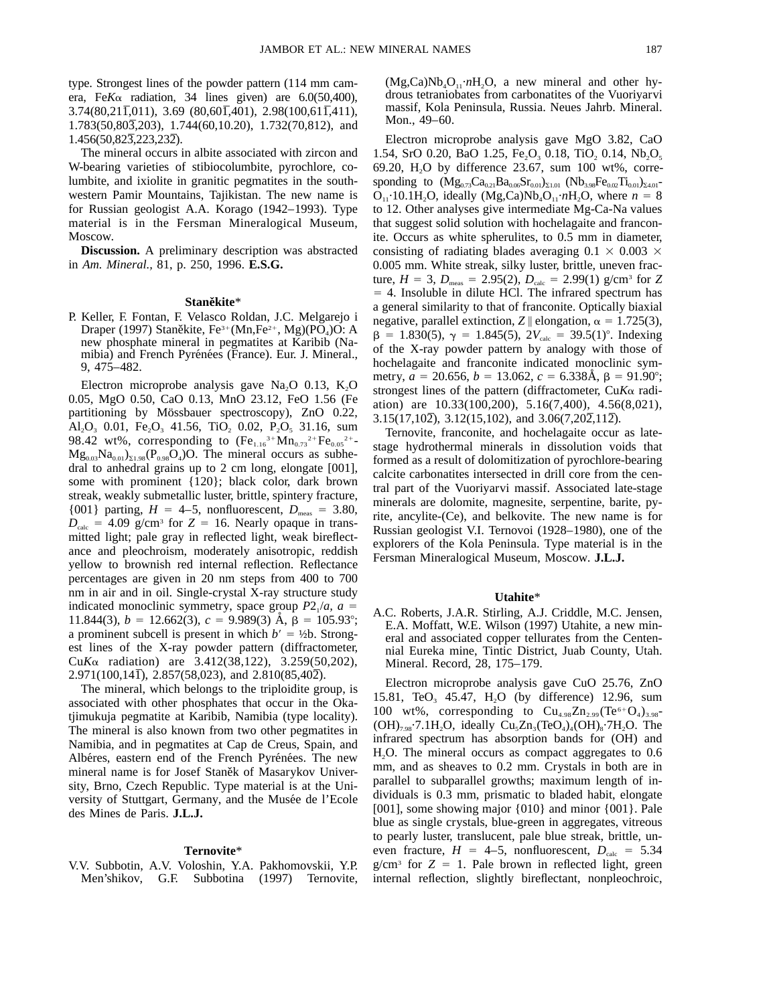type. Strongest lines of the powder pattern (114 mm camera, Fe*K*a radiation, 34 lines given) are 6.0(50,400), 3.74(80,211,011), 3.69 (80,601,401), 2.98(100,611,411), 1.783(50,803,203), 1.744(60,10.20), 1.732(70,812), and 1.456(50,823,223,232).

The mineral occurs in albite associated with zircon and W-bearing varieties of stibiocolumbite, pyrochlore, columbite, and ixiolite in granitic pegmatites in the southwestern Pamir Mountains, Tajikistan. The new name is for Russian geologist A.A. Korago (1942–1993). Type material is in the Fersman Mineralogical Museum, Moscow.

**Discussion.** A preliminary description was abstracted in *Am. Mineral.,* 81, p. 250, 1996. **E.S.G.**

#### **Staneˇkite**\*

P. Keller, F. Fontan, F. Velasco Roldan, J.C. Melgarejo i Draper (1997) Staněkite, Fe<sup>3+</sup> (Mn,Fe<sup>2+</sup>, Mg)(PO<sub>4</sub>)O: A new phosphate mineral in pegmatites at Karibib (Namibia) and French Pyrénées (France). Eur. J. Mineral., 9, 475–482.

Electron microprobe analysis gave Na<sub>2</sub>O 0.13, K<sub>2</sub>O 0.05, MgO 0.50, CaO 0.13, MnO 23.12, FeO 1.56 (Fe partitioning by Mössbauer spectroscopy), ZnO 0.22, Al<sub>2</sub>O<sub>3</sub> 0.01, Fe<sub>2</sub>O<sub>3</sub> 41.56, TiO<sub>2</sub> 0.02, P<sub>2</sub>O<sub>5</sub> 31.16, sum 98.42 wt%, corresponding to  $(Fe<sub>1.16</sub><sup>3+</sup>Mn<sub>0.73</sub><sup>2+</sup>Fe<sub>0.05</sub><sup>2+</sup> Mg_{0.03}Na_{0.01}S_{1.98}(P_{0.98}O_4)O$ . The mineral occurs as subhedral to anhedral grains up to 2 cm long, elongate [001], some with prominent {120}; black color, dark brown streak, weakly submetallic luster, brittle, spintery fracture, {001} parting,  $H = 4-5$ , nonfluorescent,  $D_{\text{meas}} = 3.80$ ,  $D_{\text{calc}}$  = 4.09 g/cm<sup>3</sup> for *Z* = 16. Nearly opaque in transmitted light; pale gray in reflected light, weak bireflectance and pleochroism, moderately anisotropic, reddish yellow to brownish red internal reflection. Reflectance percentages are given in 20 nm steps from 400 to 700 nm in air and in oil. Single-crystal X-ray structure study indicated monoclinic symmetry, space group  $P2_1/a$ ,  $a =$ 11.844(3),  $b = 12.662(3)$ ,  $c = 9.989(3)$  Å,  $\beta = 105.93^{\circ}$ ; a prominent subcell is present in which  $b' = \frac{1}{2}$ b. Strongest lines of the X-ray powder pattern (diffractometer, Cu*K*a radiation) are 3.412(38,122), 3.259(50,202),  $2.971(100,141)$ ,  $2.857(58,023)$ , and  $2.810(85,402)$ .

The mineral, which belongs to the triploidite group, is associated with other phosphates that occur in the Okatjimukuja pegmatite at Karibib, Namibia (type locality). The mineral is also known from two other pegmatites in Namibia, and in pegmatites at Cap de Creus, Spain, and Albéres, eastern end of the French Pyrénées. The new mineral name is for Josef Staněk of Masarykov University, Brno, Czech Republic. Type material is at the University of Stuttgart, Germany, and the Musée de l'Ecole des Mines de Paris. **J.L.J.**

#### **Ternovite**\*

V.V. Subbotin, A.V. Voloshin, Y.A. Pakhomovskii, Y.P. Men'shikov, G.F. Subbotina (1997) Ternovite,  $(Mg,Ca)Nb<sub>4</sub>O<sub>11</sub>·nH<sub>2</sub>O$ , a new mineral and other hydrous tetraniobates from carbonatites of the Vuoriyarvi massif, Kola Peninsula, Russia. Neues Jahrb. Mineral. Mon., 49–60.

Electron microprobe analysis gave MgO 3.82, CaO 1.54, SrO 0.20, BaO 1.25, Fe<sub>2</sub>O<sub>3</sub> 0.18, TiO<sub>2</sub> 0.14, Nb<sub>2</sub>O<sub>5</sub> 69.20, H<sub>2</sub>O by difference 23.67, sum 100 wt%, corresponding to  $(Mg_{0.73}Ca_{0.21}Ba_{0.06}Sr_{0.01})_{\Sigma1.01}$   $(Nb_{3.98}Fe_{0.02}Ti_{0.01})_{\Sigma4.01}$  $O_{11} \cdot 10.1H_2O$ , ideally  $(Mg,Ca)Nb_4O_{11} \cdot nH_2O$ , where  $n = 8$ to 12. Other analyses give intermediate Mg-Ca-Na values that suggest solid solution with hochelagaite and franconite. Occurs as white spherulites, to 0.5 mm in diameter, consisting of radiating blades averaging  $0.1 \times 0.003 \times$ 0.005 mm. White streak, silky luster, brittle, uneven fracture,  $H = 3$ ,  $D_{\text{meas}} = 2.95(2)$ ,  $D_{\text{calc}} = 2.99(1)$  g/cm<sup>3</sup> for *Z*  $=$  4. Insoluble in dilute HCl. The infrared spectrum has a general similarity to that of franconite. Optically biaxial negative, parallel extinction, *Z*  $\|$  elongation,  $\alpha = 1.725(3)$ ,  $\beta$  = 1.830(5),  $\gamma$  = 1.845(5),  $2V_{\text{calc}}$  = 39.5(1)°. Indexing of the X-ray powder pattern by analogy with those of hochelagaite and franconite indicated monoclinic symmetry,  $a = 20.656$ ,  $b = 13.062$ ,  $c = 6.338$ Å,  $\beta = 91.90^{\circ}$ ; strongest lines of the pattern (diffractometer, Cu*K*a radiation) are 10.33(100,200), 5.16(7,400), 4.56(8,021),  $3.15(17,102)$ ,  $3.12(15,102)$ , and  $3.06(7,202,112)$ .

Ternovite, franconite, and hochelagaite occur as latestage hydrothermal minerals in dissolution voids that formed as a result of dolomitization of pyrochlore-bearing calcite carbonatites intersected in drill core from the central part of the Vuoriyarvi massif. Associated late-stage minerals are dolomite, magnesite, serpentine, barite, pyrite, ancylite-(Ce), and belkovite. The new name is for Russian geologist V.I. Ternovoi (1928–1980), one of the explorers of the Kola Peninsula. Type material is in the Fersman Mineralogical Museum, Moscow. **J.L.J.**

#### **Utahite**\*

A.C. Roberts, J.A.R. Stirling, A.J. Criddle, M.C. Jensen, E.A. Moffatt, W.E. Wilson (1997) Utahite, a new mineral and associated copper tellurates from the Centennial Eureka mine, Tintic District, Juab County, Utah. Mineral. Record, 28, 175–179.

Electron microprobe analysis gave CuO 25.76, ZnO 15.81, TeO<sub>3</sub> 45.47, H<sub>2</sub>O (by difference) 12.96, sum 100 wt%, corresponding to  $Cu_{4.98}Zn_{2.99}$  (Te<sup>6+</sup>O<sub>4</sub>)<sub>3.98</sub>- $(OH)_{7.98}$ .7.1H<sub>2</sub>O, ideally Cu<sub>5</sub>Zn<sub>3</sub>(TeO<sub>4</sub>)<sub>4</sub>(OH)<sub>8</sub>.7H<sub>2</sub>O. The infrared spectrum has absorption bands for (OH) and H2O. The mineral occurs as compact aggregates to 0.6 mm, and as sheaves to 0.2 mm. Crystals in both are in parallel to subparallel growths; maximum length of individuals is 0.3 mm, prismatic to bladed habit, elongate [001], some showing major {010} and minor {001}. Pale blue as single crystals, blue-green in aggregates, vitreous to pearly luster, translucent, pale blue streak, brittle, uneven fracture,  $H = 4-5$ , nonfluorescent,  $D_{\text{calc}} = 5.34$  $g/cm<sup>3</sup>$  for  $Z = 1$ . Pale brown in reflected light, green internal reflection, slightly bireflectant, nonpleochroic,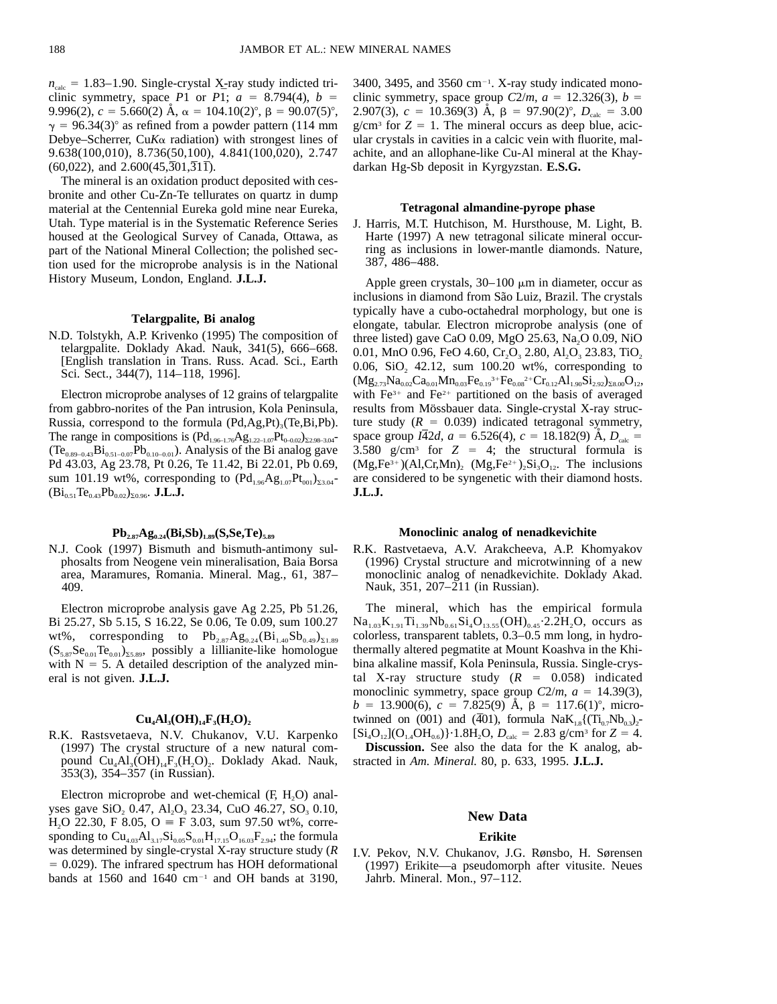$n_{\text{calc}} = 1.83-1.90$ . Single-crystal X-ray study indicted triclinic symmetry, space *P*1 or *P*1;  $a = 8.794(4)$ ,  $b =$ 9.996(2),  $c = 5.660(2)$  Å,  $\alpha = 104.10(2)^\circ$ ,  $\beta = 90.07(5)^\circ$ ,  $\gamma$  = 96.34(3)° as refined from a powder pattern (114 mm Debye–Scherrer, Cu $K\alpha$  radiation) with strongest lines of 9.638(100,010), 8.736(50,100), 4.841(100,020), 2.747  $(60,022)$ , and  $2.600(45,301,311)$ .

The mineral is an oxidation product deposited with cesbronite and other Cu-Zn-Te tellurates on quartz in dump material at the Centennial Eureka gold mine near Eureka, Utah. Type material is in the Systematic Reference Series housed at the Geological Survey of Canada, Ottawa, as part of the National Mineral Collection; the polished section used for the microprobe analysis is in the National History Museum, London, England. **J.L.J.**

# **Telargpalite, Bi analog**

N.D. Tolstykh, A.P. Krivenko (1995) The composition of telargpalite. Doklady Akad. Nauk, 341(5), 666–668. [English translation in Trans. Russ. Acad. Sci., Earth Sci. Sect., 344(7), 114–118, 1996].

Electron microprobe analyses of 12 grains of telargpalite from gabbro-norites of the Pan intrusion, Kola Peninsula, Russia, correspond to the formula  $(Pd, Ag, Pt)_{3}(Te, Bi, Pb)$ . The range in compositions is  $(Pd_{1.96-1.76}Ag_{1.22-1.07}Pt_{0-0.02})_{\Sigma2.98-3.04}$  $(Te_{0.89-0.43}Bi_{0.51-0.07}Pb_{0.10-0.01})$ . Analysis of the Bi analog gave Pd 43.03, Ag 23.78, Pt 0.26, Te 11.42, Bi 22.01, Pb 0.69, sum 101.19 wt%, corresponding to  $(Pd_{1.96}Ag_{1.07}Pt_{001})_{23.04}$  $(Bi_{0.51}Te_{0.43}Pb_{0.02})_{\Sigma 0.96}$ . **J.L.J.** 

#### $Pb_{2.87}Ag_{0.24}(Bi, Sb)_{1.89}(S, Se, Te)_{5.89}$

N.J. Cook (1997) Bismuth and bismuth-antimony sulphosalts from Neogene vein mineralisation, Baia Borsa area, Maramures, Romania. Mineral. Mag., 61, 387– 409.

Electron microprobe analysis gave Ag 2.25, Pb 51.26, Bi 25.27, Sb 5.15, S 16.22, Se 0.06, Te 0.09, sum 100.27 wt%, corresponding to  $Pb_{2.87}Ag_{0.24}(Bi_{1.40}Sb_{0.49})_{\Sigma1.89}$  $(S_{5.87}Se_{0.01}Te_{0.01})_{25.89}$ , possibly a lillianite-like homologue with  $N = 5$ . A detailed description of the analyzed mineral is not given. **J.L.J.**

#### $Cu<sub>4</sub>Al<sub>3</sub>(OH)<sub>14</sub>F<sub>3</sub>(H<sub>2</sub>O)$ <sub>2</sub>

R.K. Rastsvetaeva, N.V. Chukanov, V.U. Karpenko (1997) The crystal structure of a new natural compound  $Cu<sub>4</sub>Al<sub>3</sub>(OH)<sub>14</sub>F<sub>3</sub>(H<sub>2</sub>O)<sub>2</sub>$ . Doklady Akad. Nauk, 353(3), 354–357 (in Russian).

Electron microprobe and wet-chemical  $(F, H<sub>2</sub>O)$  analyses gave  $SiO_2$  0.47,  $Al_2O_3$  23.34, CuO 46.27, SO<sub>3</sub> 0.10,  $H<sub>2</sub>O$  22.30, F 8.05, O = F 3.03, sum 97.50 wt%, corresponding to  $Cu_{4.03}Al_{3.17}Si_{0.05}S_{0.01}H_{17.15}O_{16.03}F_{2.94}$ ; the formula was determined by single-crystal X-ray structure study (*R*  $= 0.029$ ). The infrared spectrum has HOH deformational bands at 1560 and 1640  $cm^{-1}$  and OH bands at 3190,

 $3400$ ,  $3495$ , and  $3560$  cm<sup>-1</sup>. X-ray study indicated monoclinic symmetry, space group  $C2/m$ ,  $a = 12.326(3)$ ,  $b =$ 2.907(3),  $c = 10.369(3)$  Å,  $\beta = 97.90(2)^\circ$ ,  $D_{\text{calc}} = 3.00$  $g/cm<sup>3</sup>$  for  $Z = 1$ . The mineral occurs as deep blue, acicular crystals in cavities in a calcic vein with fluorite, malachite, and an allophane-like Cu-Al mineral at the Khaydarkan Hg-Sb deposit in Kyrgyzstan. **E.S.G.**

## **Tetragonal almandine-pyrope phase**

J. Harris, M.T. Hutchison, M. Hursthouse, M. Light, B. Harte (1997) A new tetragonal silicate mineral occurring as inclusions in lower-mantle diamonds. Nature, 387, 486–488.

Apple green crystals,  $30-100 \mu m$  in diameter, occur as inclusions in diamond from São Luiz, Brazil. The crystals typically have a cubo-octahedral morphology, but one is elongate, tabular. Electron microprobe analysis (one of three listed) gave CaO  $0.09$ , MgO  $25.63$ , Na<sub>2</sub>O  $0.09$ , NiO 0.01, MnO 0.96, FeO 4.60, Cr<sub>2</sub>O<sub>3</sub> 2.80, Al<sub>2</sub>O<sub>3</sub> 23.83, TiO<sub>2</sub> 0.06,  $SiO<sub>2</sub>$  42.12, sum 100.20 wt%, corresponding to  $(Mg_{2.73}Na_{0.02}Ca_{0.01}Mn_{0.03}Fe_{0.19}{}^{3+}Fe_{0.08}{}^{2+}Cr_{0.12}Al_{1.90}Si_{2.92})_{\Sigma 8.00}O_{12},$ with  $Fe<sup>3+</sup>$  and  $Fe<sup>2+</sup>$  partitioned on the basis of averaged results from Mössbauer data. Single-crystal X-ray structure study  $(R = 0.039)$  indicated tetragonal symmetry, space group  $I\overline{4}2d$ ,  $a = 6.526(4)$ ,  $c = 18.182(9)$  Å,  $D_{\text{calc}} =$ 3.580 g/cm<sup>3</sup> for  $Z = 4$ ; the structural formula is  $(Mg,Fe^{3+})$  $(Al,Cr,Mn)$ ,  $(Mg,Fe^{2+})$ , $Si<sub>3</sub>O<sub>12</sub>$ . The inclusions are considered to be syngenetic with their diamond hosts. **J.L.J.**

#### **Monoclinic analog of nenadkevichite**

R.K. Rastvetaeva, A.V. Arakcheeva, A.P. Khomyakov (1996) Crystal structure and microtwinning of a new monoclinic analog of nenadkevichite. Doklady Akad. Nauk, 351, 207–211 (in Russian).

The mineral, which has the empirical formula  $Na_{1.03}K_{1.91}Ti_{1.39}Nb_{0.61}Si_4O_{13.55} (OH)_{0.45}$ . 2.2H<sub>2</sub>O, occurs as colorless, transparent tablets, 0.3–0.5 mm long, in hydrothermally altered pegmatite at Mount Koashva in the Khibina alkaline massif, Kola Peninsula, Russia. Single-crystal X-ray structure study  $(R = 0.058)$  indicated monoclinic symmetry, space group  $C2/m$ ,  $a = 14.39(3)$ ,  $b = 13.900(6)$ ,  $c = 7.825(9)$  Å,  $\beta = 117.6(1)^\circ$ , microtwinned on (001) and (401), formula  $N a K_{1.8}({\rm Ti}_{0.7}Nb_{0.3})_2$ - $[Si_4O_{12}](O_{1.4}OH_{0.6})\cdot 1.8H_2O$ ,  $D_{calc} = 2.83$  g/cm<sup>3</sup> for  $Z = 4$ . **Discussion.** See also the data for the K analog, ab-

stracted in *Am. Mineral.* 80, p. 633, 1995. **J.L.J.**

## **New Data**

#### **Erikite**

I.V. Pekov, N.V. Chukanov, J.G. Rønsbo, H. Sørensen (1997) Erikite—a pseudomorph after vitusite. Neues Jahrb. Mineral. Mon., 97–112.